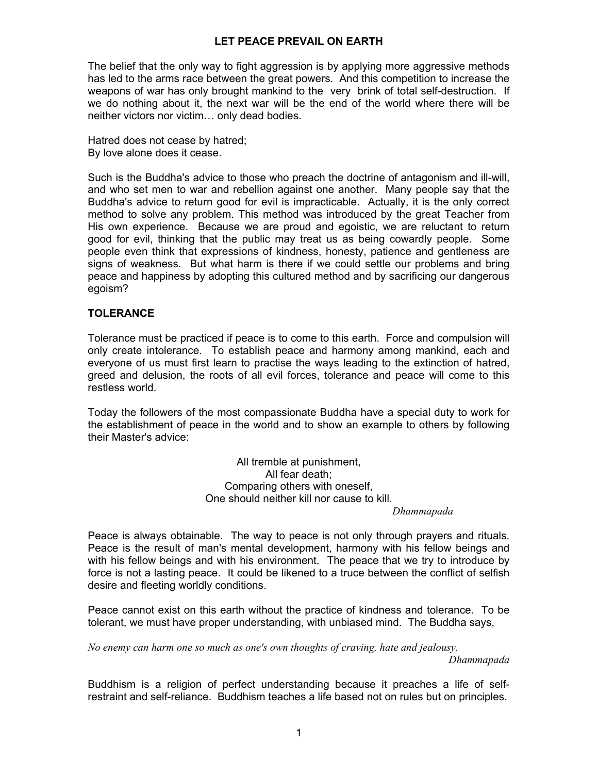## **LET PEACE PREVAIL ON EARTH**

The belief that the only way to fight aggression is by applying more aggressive methods has led to the arms race between the great powers. And this competition to increase the weapons of war has only brought mankind to the very brink of total self-destruction. If we do nothing about it, the next war will be the end of the world where there will be neither victors nor victim… only dead bodies.

Hatred does not cease by hatred; By love alone does it cease.

Such is the Buddha's advice to those who preach the doctrine of antagonism and ill-will, and who set men to war and rebellion against one another. Many people say that the Buddha's advice to return good for evil is impracticable. Actually, it is the only correct method to solve any problem. This method was introduced by the great Teacher from His own experience. Because we are proud and egoistic, we are reluctant to return good for evil, thinking that the public may treat us as being cowardly people. Some people even think that expressions of kindness, honesty, patience and gentleness are signs of weakness. But what harm is there if we could settle our problems and bring peace and happiness by adopting this cultured method and by sacrificing our dangerous egoism?

### **TOLERANCE**

Tolerance must be practiced if peace is to come to this earth. Force and compulsion will only create intolerance. To establish peace and harmony among mankind, each and everyone of us must first learn to practise the ways leading to the extinction of hatred, greed and delusion, the roots of all evil forces, tolerance and peace will come to this restless world.

Today the followers of the most compassionate Buddha have a special duty to work for the establishment of peace in the world and to show an example to others by following their Master's advice:

> All tremble at punishment, All fear death; Comparing others with oneself, One should neither kill nor cause to kill.

 *Dhammapada* 

Peace is always obtainable. The way to peace is not only through prayers and rituals. Peace is the result of man's mental development, harmony with his fellow beings and with his fellow beings and with his environment. The peace that we try to introduce by force is not a lasting peace. It could be likened to a truce between the conflict of selfish desire and fleeting worldly conditions.

Peace cannot exist on this earth without the practice of kindness and tolerance. To be tolerant, we must have proper understanding, with unbiased mind. The Buddha says,

*No enemy can harm one so much as one's own thoughts of craving, hate and jealousy.* 

*Dhammapada* 

Buddhism is a religion of perfect understanding because it preaches a life of selfrestraint and self-reliance. Buddhism teaches a life based not on rules but on principles.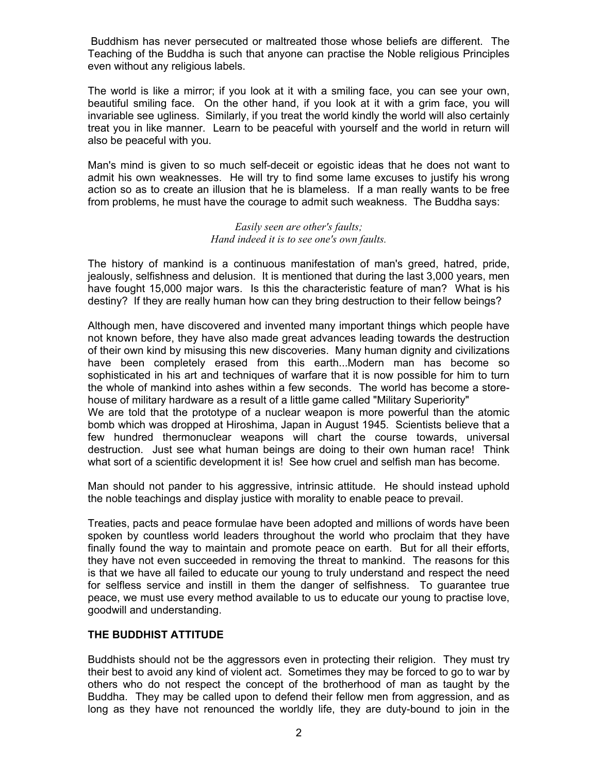Buddhism has never persecuted or maltreated those whose beliefs are different. The Teaching of the Buddha is such that anyone can practise the Noble religious Principles even without any religious labels.

The world is like a mirror; if you look at it with a smiling face, you can see your own, beautiful smiling face. On the other hand, if you look at it with a grim face, you will invariable see ugliness. Similarly, if you treat the world kindly the world will also certainly treat you in like manner. Learn to be peaceful with yourself and the world in return will also be peaceful with you.

Man's mind is given to so much self-deceit or egoistic ideas that he does not want to admit his own weaknesses. He will try to find some lame excuses to justify his wrong action so as to create an illusion that he is blameless. If a man really wants to be free from problems, he must have the courage to admit such weakness. The Buddha says:

#### *Easily seen are other's faults; Hand indeed it is to see one's own faults.*

The history of mankind is a continuous manifestation of man's greed, hatred, pride, jealously, selfishness and delusion. It is mentioned that during the last 3,000 years, men have fought 15,000 major wars. Is this the characteristic feature of man? What is his destiny? If they are really human how can they bring destruction to their fellow beings?

Although men, have discovered and invented many important things which people have not known before, they have also made great advances leading towards the destruction of their own kind by misusing this new discoveries. Many human dignity and civilizations have been completely erased from this earth...Modern man has become so sophisticated in his art and techniques of warfare that it is now possible for him to turn the whole of mankind into ashes within a few seconds. The world has become a storehouse of military hardware as a result of a little game called "Military Superiority" We are told that the prototype of a nuclear weapon is more powerful than the atomic bomb which was dropped at Hiroshima, Japan in August 1945. Scientists believe that a few hundred thermonuclear weapons will chart the course towards, universal destruction. Just see what human beings are doing to their own human race! Think what sort of a scientific development it is! See how cruel and selfish man has become.

Man should not pander to his aggressive, intrinsic attitude. He should instead uphold the noble teachings and display justice with morality to enable peace to prevail.

Treaties, pacts and peace formulae have been adopted and millions of words have been spoken by countless world leaders throughout the world who proclaim that they have finally found the way to maintain and promote peace on earth. But for all their efforts, they have not even succeeded in removing the threat to mankind. The reasons for this is that we have all failed to educate our young to truly understand and respect the need for selfless service and instill in them the danger of selfishness. To guarantee true peace, we must use every method available to us to educate our young to practise love, goodwill and understanding.

# **THE BUDDHIST ATTITUDE**

Buddhists should not be the aggressors even in protecting their religion. They must try their best to avoid any kind of violent act. Sometimes they may be forced to go to war by others who do not respect the concept of the brotherhood of man as taught by the Buddha. They may be called upon to defend their fellow men from aggression, and as long as they have not renounced the worldly life, they are duty-bound to join in the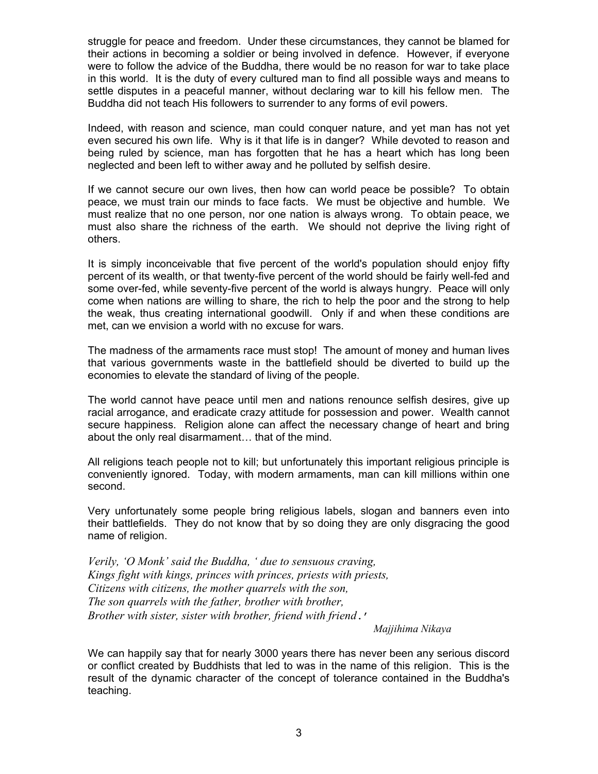struggle for peace and freedom. Under these circumstances, they cannot be blamed for their actions in becoming a soldier or being involved in defence. However, if everyone were to follow the advice of the Buddha, there would be no reason for war to take place in this world. It is the duty of every cultured man to find all possible ways and means to settle disputes in a peaceful manner, without declaring war to kill his fellow men. The Buddha did not teach His followers to surrender to any forms of evil powers.

Indeed, with reason and science, man could conquer nature, and yet man has not yet even secured his own life. Why is it that life is in danger? While devoted to reason and being ruled by science, man has forgotten that he has a heart which has long been neglected and been left to wither away and he polluted by selfish desire.

If we cannot secure our own lives, then how can world peace be possible? To obtain peace, we must train our minds to face facts. We must be objective and humble. We must realize that no one person, nor one nation is always wrong. To obtain peace, we must also share the richness of the earth. We should not deprive the living right of others.

It is simply inconceivable that five percent of the world's population should enjoy fifty percent of its wealth, or that twenty-five percent of the world should be fairly well-fed and some over-fed, while seventy-five percent of the world is always hungry. Peace will only come when nations are willing to share, the rich to help the poor and the strong to help the weak, thus creating international goodwill. Only if and when these conditions are met, can we envision a world with no excuse for wars.

The madness of the armaments race must stop! The amount of money and human lives that various governments waste in the battlefield should be diverted to build up the economies to elevate the standard of living of the people.

The world cannot have peace until men and nations renounce selfish desires, give up racial arrogance, and eradicate crazy attitude for possession and power. Wealth cannot secure happiness. Religion alone can affect the necessary change of heart and bring about the only real disarmament… that of the mind.

All religions teach people not to kill; but unfortunately this important religious principle is conveniently ignored. Today, with modern armaments, man can kill millions within one second.

Very unfortunately some people bring religious labels, slogan and banners even into their battlefields. They do not know that by so doing they are only disgracing the good name of religion.

*Verily, 'O Monk' said the Buddha, ' due to sensuous craving, Kings fight with kings, princes with princes, priests with priests, Citizens with citizens, the mother quarrels with the son, The son quarrels with the father, brother with brother, Brother with sister, sister with brother, friend with friend*.'

 *Majjihima Nikaya* 

We can happily say that for nearly 3000 years there has never been any serious discord or conflict created by Buddhists that led to was in the name of this religion. This is the result of the dynamic character of the concept of tolerance contained in the Buddha's teaching.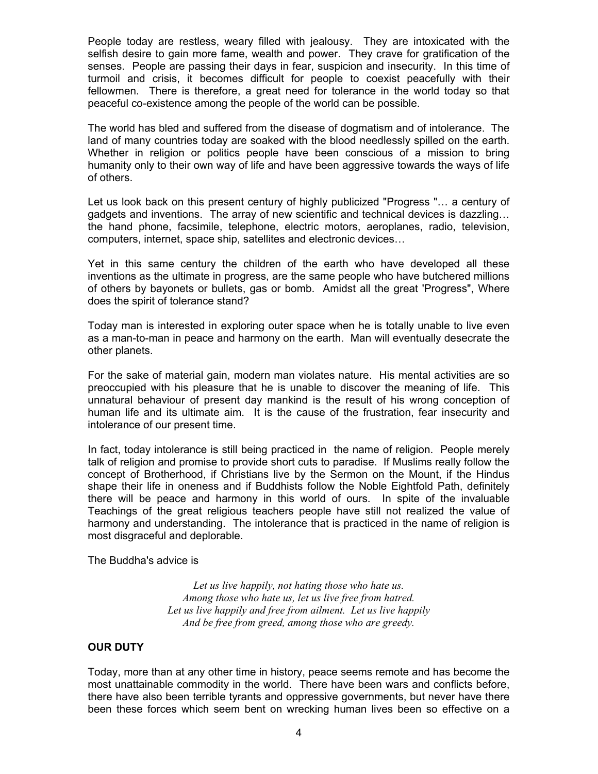People today are restless, weary filled with jealousy. They are intoxicated with the selfish desire to gain more fame, wealth and power. They crave for gratification of the senses. People are passing their days in fear, suspicion and insecurity. In this time of turmoil and crisis, it becomes difficult for people to coexist peacefully with their fellowmen. There is therefore, a great need for tolerance in the world today so that peaceful co-existence among the people of the world can be possible.

The world has bled and suffered from the disease of dogmatism and of intolerance. The land of many countries today are soaked with the blood needlessly spilled on the earth. Whether in religion or politics people have been conscious of a mission to bring humanity only to their own way of life and have been aggressive towards the ways of life of others.

Let us look back on this present century of highly publicized "Progress "… a century of gadgets and inventions. The array of new scientific and technical devices is dazzling… the hand phone, facsimile, telephone, electric motors, aeroplanes, radio, television, computers, internet, space ship, satellites and electronic devices…

Yet in this same century the children of the earth who have developed all these inventions as the ultimate in progress, are the same people who have butchered millions of others by bayonets or bullets, gas or bomb. Amidst all the great 'Progress", Where does the spirit of tolerance stand?

Today man is interested in exploring outer space when he is totally unable to live even as a man-to-man in peace and harmony on the earth. Man will eventually desecrate the other planets.

For the sake of material gain, modern man violates nature. His mental activities are so preoccupied with his pleasure that he is unable to discover the meaning of life. This unnatural behaviour of present day mankind is the result of his wrong conception of human life and its ultimate aim. It is the cause of the frustration, fear insecurity and intolerance of our present time.

In fact, today intolerance is still being practiced in the name of religion. People merely talk of religion and promise to provide short cuts to paradise. If Muslims really follow the concept of Brotherhood, if Christians live by the Sermon on the Mount, if the Hindus shape their life in oneness and if Buddhists follow the Noble Eightfold Path, definitely there will be peace and harmony in this world of ours. In spite of the invaluable Teachings of the great religious teachers people have still not realized the value of harmony and understanding. The intolerance that is practiced in the name of religion is most disgraceful and deplorable.

The Buddha's advice is

*Let us live happily, not hating those who hate us. Among those who hate us, let us live free from hatred. Let us live happily and free from ailment. Let us live happily And be free from greed, among those who are greedy.* 

## **OUR DUTY**

Today, more than at any other time in history, peace seems remote and has become the most unattainable commodity in the world. There have been wars and conflicts before, there have also been terrible tyrants and oppressive governments, but never have there been these forces which seem bent on wrecking human lives been so effective on a